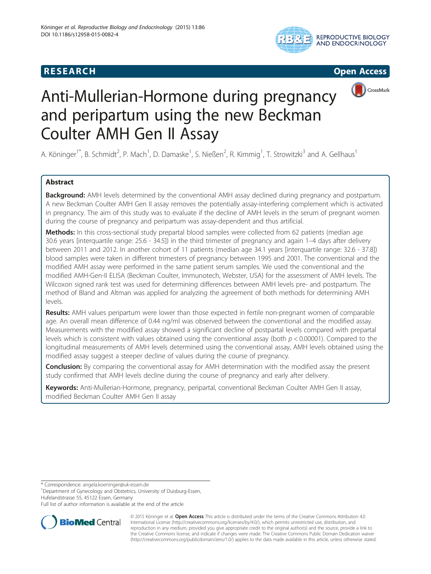## **RESEARCH CHILD CONTROL** CONTROL CONTROL CONTROL CONTROL CONTROL CONTROL CONTROL CONTROL CONTROL CONTROL CONTROL CONTROL CONTROL CONTROL CONTROL CONTROL CONTROL CONTROL CONTROL CONTROL CONTROL CONTROL CONTROL CONTROL CONTR







# Anti-Mullerian-Hormone during pregnancy and peripartum using the new Beckman Coulter AMH Gen II Assay

A. Köninger<sup>1\*</sup>, B. Schmidt<sup>2</sup>, P. Mach<sup>1</sup>, D. Damaske<sup>1</sup>, S. Nießen<sup>2</sup>, R. Kimmig<sup>1</sup>, T. Strowitzki<sup>3</sup> and A. Gellhaus<sup>1</sup>

### Abstract

Background: AMH levels determined by the conventional AMH assay declined during pregnancy and postpartum. A new Beckman Coulter AMH Gen II assay removes the potentially assay-interfering complement which is activated in pregnancy. The aim of this study was to evaluate if the decline of AMH levels in the serum of pregnant women during the course of pregnancy and peripartum was assay-dependent and thus artificial.

Methods: In this cross-sectional study prepartal blood samples were collected from 62 patients (median age 30.6 years [interquartile range: 25.6 - 34.5]) in the third trimester of pregnancy and again 1–4 days after delivery between 2011 and 2012. In another cohort of 11 patients (median age 34.1 years [interquartile range: 32.6 - 37.8]) blood samples were taken in different trimesters of pregnancy between 1995 and 2001. The conventional and the modified AMH assay were performed in the same patient serum samples. We used the conventional and the modified AMH-Gen-II ELISA (Beckman Coulter, Immunotech, Webster, USA) for the assessment of AMH levels. The Wilcoxon signed rank test was used for determining differences between AMH levels pre- and postpartum. The method of Bland and Altman was applied for analyzing the agreement of both methods for determining AMH levels.

Results: AMH values peripartum were lower than those expected in fertile non-pregnant women of comparable age. An overall mean difference of 0.44 ng/ml was observed between the conventional and the modified assay. Measurements with the modified assay showed a significant decline of postpartal levels compared with prepartal levels which is consistent with values obtained using the conventional assay (both  $p < 0.00001$ ). Compared to the longitudinal measurements of AMH levels determined using the conventional assay, AMH levels obtained using the modified assay suggest a steeper decline of values during the course of pregnancy.

Conclusion: By comparing the conventional assay for AMH determination with the modified assay the present study confirmed that AMH levels decline during the course of pregnancy and early after delivery.

Keywords: Anti-Mullerian-Hormone, pregnancy, peripartal, conventional Beckman Coulter AMH Gen II assay, modified Beckman Coulter AMH Gen II assay

\* Correspondence: [angela.koeninger@uk-essen.de](mailto:angela.koeninger@uk-essen.de) <sup>1</sup>

<sup>1</sup>Department of Gynecology and Obstetrics, University of Duisburg-Essen, Hufelandstrasse 55, 45122 Essen, Germany

Full list of author information is available at the end of the article



© 2015 Köninger et al. Open Access This article is distributed under the terms of the Creative Commons Attribution 4.0 International License [\(http://creativecommons.org/licenses/by/4.0/](http://creativecommons.org/licenses/by/4.0/)), which permits unrestricted use, distribution, and reproduction in any medium, provided you give appropriate credit to the original author(s) and the source, provide a link to the Creative Commons license, and indicate if changes were made. The Creative Commons Public Domain Dedication waiver [\(http://creativecommons.org/publicdomain/zero/1.0/](http://creativecommons.org/publicdomain/zero/1.0/)) applies to the data made available in this article, unless otherwise stated.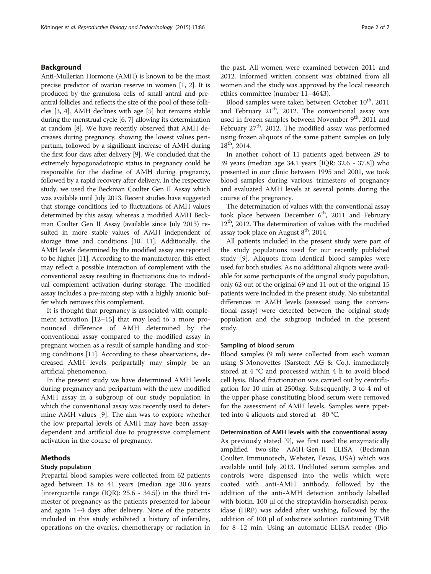#### Background

Anti-Mullerian Hormone (AMH) is known to be the most precise predictor of ovarian reserve in women [\[1](#page-6-0), [2\]](#page-6-0). It is produced by the granulosa cells of small antral and preantral follicles and reflects the size of the pool of these follicles [\[3, 4](#page-6-0)]. AMH declines with age [[5](#page-6-0)] but remains stable during the menstrual cycle [[6](#page-6-0), [7\]](#page-6-0) allowing its determination at random [\[8\]](#page-6-0). We have recently observed that AMH decreases during pregnancy, showing the lowest values peripartum, followed by a significant increase of AMH during the first four days after delivery [\[9](#page-6-0)]. We concluded that the extremely hypogonadotropic status in pregnancy could be responsible for the decline of AMH during pregnancy, followed by a rapid recovery after delivery. In the respective study, we used the Beckman Coulter Gen II Assay which was available until July 2013. Recent studies have suggested that storage conditions led to fluctuations of AMH values determined by this assay, whereas a modified AMH Beckman Coulter Gen II Assay (available since July 2013) resulted in more stable values of AMH independent of storage time and conditions [\[10, 11](#page-6-0)]. Additionally, the AMH levels determined by the modified assay are reported to be higher [[11](#page-6-0)]. According to the manufacturer, this effect may reflect a possible interaction of complement with the conventional assay resulting in fluctuations due to individual complement activation during storage. The modified assay includes a pre-mixing step with a highly anionic buffer which removes this complement.

It is thought that pregnancy is associated with complement activation [[12](#page-6-0)–[15](#page-6-0)] that may lead to a more pronounced difference of AMH determined by the conventional assay compared to the modified assay in pregnant women as a result of sample handling and storing conditions [\[11](#page-6-0)]. According to these observations, decreased AMH levels peripartally may simply be an artificial phenomenon.

In the present study we have determined AMH levels during pregnancy and peripartum with the new modified AMH assay in a subgroup of our study population in which the conventional assay was recently used to determine AMH values [\[9](#page-6-0)]. The aim was to explore whether the low prepartal levels of AMH may have been assaydependent and artificial due to progressive complement activation in the course of pregnancy.

#### Methods

#### Study population

Prepartal blood samples were collected from 62 patients aged between 18 to 41 years (median age 30.6 years [interquartile range  $(IQR)$ : 25.6 - 34.5]) in the third trimester of pregnancy as the patients presented for labour and again 1–4 days after delivery. None of the patients included in this study exhibited a history of infertility, operations on the ovaries, chemotherapy or radiation in the past. All women were examined between 2011 and 2012. Informed written consent was obtained from all women and the study was approved by the local research ethics committee (number 11–4643).

Blood samples were taken between October  $10^{th}$ , 2011 and February  $21<sup>th</sup>$ , 2012. The conventional assay was used in frozen samples between November  $9<sup>th</sup>$ , 2011 and February  $27<sup>th</sup>$ , 2012. The modified assay was performed using frozen aliquots of the same patient samples on July 18th, 2014.

In another cohort of 11 patients aged between 29 to 39 years (median age 34.1 years [IQR: 32.6 - 37.8]) who presented in our clinic between 1995 and 2001, we took blood samples during various trimesters of pregnancy and evaluated AMH levels at several points during the course of the pregnancy.

The determination of values with the conventional assay took place between December  $6<sup>th</sup>$ , 2011 and February  $12<sup>th</sup>$ , 2012. The determination of values with the modified assay took place on August  $8<sup>th</sup>$ , 2014.

All patients included in the present study were part of the study populations used for our recently published study [[9\]](#page-6-0). Aliquots from identical blood samples were used for both studies. As no additional aliquots were available for some participants of the original study population, only 62 out of the original 69 and 11 out of the original 15 patients were included in the present study. No substantial differences in AMH levels (assessed using the conventional assay) were detected between the original study population and the subgroup included in the present study.

#### Sampling of blood serum

Blood samples (9 ml) were collected from each woman using S-Monovettes (Sarstedt AG & Co.), immediately stored at 4 °C and processed within 4 h to avoid blood cell lysis. Blood fractionation was carried out by centrifugation for 10 min at 2500xg. Subsequently, 3 to 4 ml of the upper phase constituting blood serum were removed for the assessment of AMH levels. Samples were pipetted into 4 aliquots and stored at −80 °C.

Determination of AMH levels with the conventional assay

As previously stated [[9\]](#page-6-0), we first used the enzymatically amplified two-site AMH-Gen-II ELISA (Beckman Coulter, Immunotech, Webster, Texas, USA) which was available until July 2013. Undiluted serum samples and controls were dispensed into the wells which were coated with anti-AMH antibody, followed by the addition of the anti-AMH detection antibody labelled with biotin. 100 μl of the streptavidin-horseradish peroxidase (HRP) was added after washing, followed by the addition of 100 μl of substrate solution containing TMB for 8–12 min. Using an automatic ELISA reader (Bio-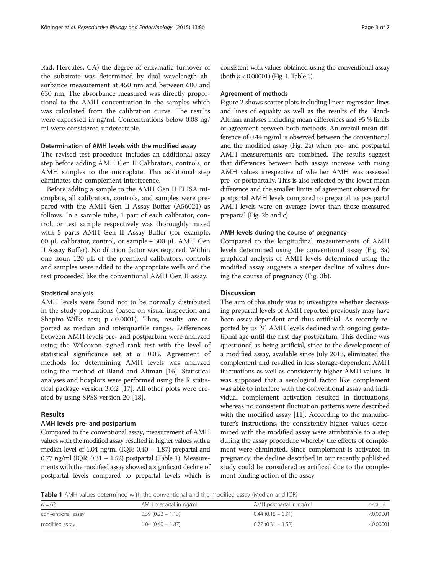Rad, Hercules, CA) the degree of enzymatic turnover of the substrate was determined by dual wavelength absorbance measurement at 450 nm and between 600 and 630 nm. The absorbance measured was directly proportional to the AMH concentration in the samples which was calculated from the calibration curve. The results were expressed in ng/ml. Concentrations below 0.08 ng/ ml were considered undetectable.

#### Determination of AMH levels with the modified assay

The revised test procedure includes an additional assay step before adding AMH Gen II Calibrators, controls, or AMH samples to the microplate. This additional step eliminates the complement interference.

Before adding a sample to the AMH Gen II ELISA microplate, all calibrators, controls, and samples were prepared with the AMH Gen II Assay Buffer (A56021) as follows. In a sample tube, 1 part of each calibrator, control, or test sample respectively was thoroughly mixed with 5 parts AMH Gen II Assay Buffer (for example, 60 μL calibrator, control, or sample + 300 μL AMH Gen II Assay Buffer). No dilution factor was required. Within one hour, 120 μL of the premixed calibrators, controls and samples were added to the appropriate wells and the test proceeded like the conventional AMH Gen II assay.

#### Statistical analysis

AMH levels were found not to be normally distributed in the study populations (based on visual inspection and Shapiro-Wilks test; p < 0.0001). Thus, results are reported as median and interquartile ranges. Differences between AMH levels pre- and postpartum were analyzed using the Wilcoxon signed rank test with the level of statistical significance set at  $\alpha = 0.05$ . Agreement of methods for determining AMH levels was analyzed using the method of Bland and Altman [\[16\]](#page-6-0). Statistical analyses and boxplots were performed using the R statistical package version 3.0.2 [[17](#page-6-0)]. All other plots were created by using SPSS version 20 [[18\]](#page-6-0).

#### Results

#### AMH levels pre- and postpartum

Compared to the conventional assay, measurement of AMH values with the modified assay resulted in higher values with a median level of 1.04 ng/ml (IQR:  $0.40 - 1.87$ ) prepartal and  $0.77$  ng/ml (IQR:  $0.31 - 1.52$ ) postpartal (Table 1). Measurements with the modified assay showed a significant decline of postpartal levels compared to prepartal levels which is consistent with values obtained using the conventional assay (both  $p < 0.00001$ ) (Fig. [1,](#page-3-0) Table 1).

#### Agreement of methods

Figure [2](#page-4-0) shows scatter plots including linear regression lines and lines of equality as well as the results of the Bland-Altman analyses including mean differences and 95 % limits of agreement between both methods. An overall mean difference of 0.44 ng/ml is observed between the conventional and the modified assay (Fig. [2a](#page-4-0)) when pre- and postpartal AMH measurements are combined. The results suggest that differences between both assays increase with rising AMH values irrespective of whether AMH was assessed pre- or postpartally. This is also reflected by the lower mean difference and the smaller limits of agreement observed for postpartal AMH levels compared to prepartal, as postpartal AMH levels were on average lower than those measured prepartal (Fig. [2b](#page-4-0) and [c](#page-4-0)).

#### AMH levels during the course of pregnancy

Compared to the longitudinal measurements of AMH levels determined using the conventional assay (Fig. [3a](#page-5-0)) graphical analysis of AMH levels determined using the modified assay suggests a steeper decline of values during the course of pregnancy (Fig. [3b](#page-5-0)).

#### **Discussion**

The aim of this study was to investigate whether decreasing prepartal levels of AMH reported previously may have been assay-dependent and thus artificial. As recently reported by us [\[9\]](#page-6-0) AMH levels declined with ongoing gestational age until the first day postpartum. This decline was questioned as being artificial, since to the development of a modified assay, available since July 2013, eliminated the complement and resulted in less storage-dependent AMH fluctuations as well as consistently higher AMH values. It was supposed that a serological factor like complement was able to interfere with the conventional assay and individual complement activation resulted in fluctuations, whereas no consistent fluctuation patterns were described with the modified assay [[11](#page-6-0)]. According to the manufacturer's instructions, the consistently higher values determined with the modified assay were attributable to a step during the assay procedure whereby the effects of complement were eliminated. Since complement is activated in pregnancy, the decline described in our recently published study could be considered as artificial due to the complement binding action of the assay.

**Table 1** AMH values determined with the conventional and the modified assay (Median and IQR)

| $N = 62$           | AMH prepartal in ng/ml | AMH postpartal in ng/ml | <i>p</i> -value |
|--------------------|------------------------|-------------------------|-----------------|
| conventional assay | $0.59(0.22 - 1.13)$    | $0.44$ (0.18 – 0.91)    | < 0.00001       |
| modified assay     | $1.04(0.40 - 1.87)$    | $0.77(0.31 - 1.52)$     | $<$ 0.00001     |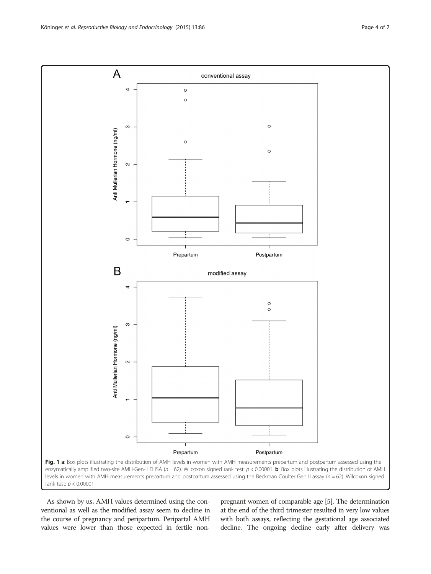As shown by us, AMH values determined using the conventional as well as the modified assay seem to decline in the course of pregnancy and peripartum. Peripartal AMH values were lower than those expected in fertile nonpregnant women of comparable age [\[5\]](#page-6-0). The determination at the end of the third trimester resulted in very low values with both assays, reflecting the gestational age associated decline. The ongoing decline early after delivery was

<span id="page-3-0"></span>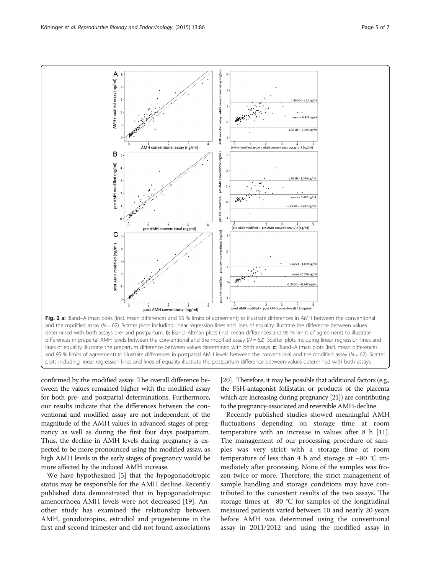confirmed by the modified assay. The overall difference between the values remained higher with the modified assay for both pre- and postpartal determinations. Furthermore, our results indicate that the differences between the conventional and modified assay are not independent of the magnitude of the AMH values in advanced stages of pregnancy as well as during the first four days postpartum. Thus, the decline in AMH levels during pregnancy is expected to be more pronounced using the modified assay, as high AMH levels in the early stages of pregnancy would be more affected by the induced AMH increase.

We have hypothesized [[5\]](#page-6-0) that the hypogonadotropic status may be responsible for the AMH decline. Recently published data demonstrated that in hypogonadotropic amenorrhoea AMH levels were not decreased [[19](#page-6-0)]. Another study has examined the relationship between AMH, gonadotropins, estradiol and progesterone in the first and second trimester and did not found associations [[20\]](#page-6-0). Therefore, it may be possible that additional factors (e.g., the FSH-antagonist follistatin or products of the placenta which are increasing during pregnancy [\[21](#page-6-0)]) are contributing to the pregnancy-associated and reversible AMH-decline.

Recently published studies showed meaningful AMH fluctuations depending on storage time at room temperature with an increase in values after 8 h [\[11](#page-6-0)]. The management of our processing procedure of samples was very strict with a storage time at room temperature of less than 4 h and storage at −80 °C immediately after processing. None of the samples was frozen twice or more. Therefore, the strict management of sample handling and storage conditions may have contributed to the consistent results of the two assays. The storage times at −80 °C for samples of the longitudinal measured patients varied between 10 and nearly 20 years before AMH was determined using the conventional assay in 2011/2012 and using the modified assay in

post AMH conventional (ng/ml) Fig. 2 a: Bland–Altman plots (incl. mean differences and 95 % limits of agreement) to illustrate differences in AMH between the conventional and the modified assay  $(N = 62)$ . Scatter plots including linear regression lines and lines of equality illustrate the difference between values determined with both assays pre- and postpartum. b: Bland–Altman plots (incl. mean differences and 95 % limits of agreement) to illustrate differences in prepartal AMH levels between the conventional and the modified assay ( $N = 62$ ). Scatter plots including linear regression lines and lines of equality illustrate the prepartum difference between values determined with both assays. c: Bland–Altman plots (incl. mean differences and 95 % limits of agreement) to illustrate differences in postpartal AMH levels between the conventional and the modified assay ( $N = 62$ ). Scatter plots including linear regression lines and lines of equality illustrate the postpartum difference between values determined with both assays

<span id="page-4-0"></span>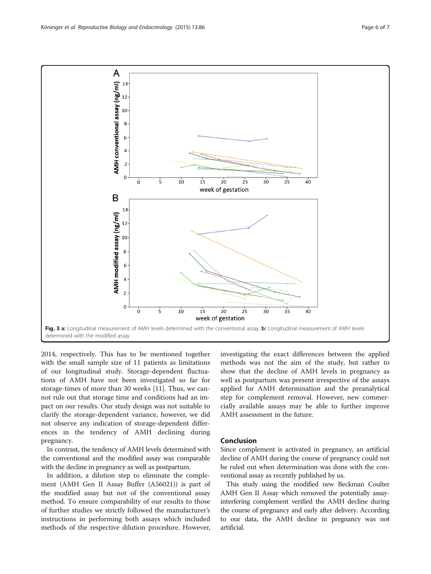2014, respectively. This has to be mentioned together with the small sample size of 11 patients as limitations of our longitudinal study. Storage-dependent fluctuations of AMH have not been investigated so far for storage-times of more than 30 weeks [\[11](#page-6-0)]. Thus, we cannot rule out that storage time and conditions had an impact on our results. Our study design was not suitable to clarify the storage-dependent variance, however, we did not observe any indication of storage-dependent differences in the tendency of AMH declining during pregnancy.

In contrast, the tendency of AMH levels determined with the conventional and the modified assay was comparable with the decline in pregnancy as well as postpartum.

In addition, a dilution step to eliminate the complement (AMH Gen II Assay Buffer (A56021)) is part of the modified assay but not of the conventional assay method. To ensure comparability of our results to those of further studies we strictly followed the manufacturer's instructions in performing both assays which included methods of the respective dilution procedure. However,

investigating the exact differences between the applied methods was not the aim of the study, but rather to show that the decline of AMH levels in pregnancy as well as postpartum was present irrespective of the assays applied for AMH determination and the preanalytical step for complement removal. However, new commercially available assays may be able to further improve AMH assessment in the future.

#### Conclusion

Since complement is activated in pregnancy, an artificial decline of AMH during the course of pregnancy could not be ruled out when determination was done with the conventional assay as recently published by us.

This study using the modified new Beckman Coulter AMH Gen II Assay which removed the potentially assayinterfering complement verified the AMH decline during the course of pregnancy and early after delivery. According to our data, the AMH decline in pregnancy was not artificial.

<span id="page-5-0"></span>